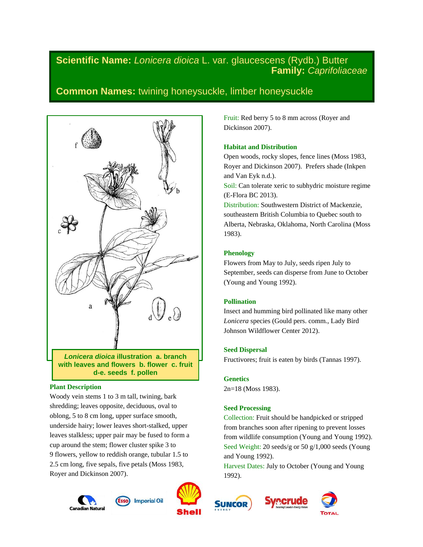# **Scientific Name:** *Lonicera dioica* L. var. glaucescens (Rydb.) Butter **Family:** *Caprifoliaceae*

# **Common Names:** twining honeysuckle, limber honeysuckle



**with leaves and flowers b. flower c. fruit d-e. seeds f. pollen**

# **Plant Description**

Woody vein stems 1 to 3 m tall, twining, bark shredding; leaves opposite, deciduous, oval to oblong, 5 to 8 cm long, upper surface smooth, underside hairy; lower leaves short-stalked, upper leaves stalkless; upper pair may be fused to form a cup around the stem; flower cluster spike 3 to 9 flowers, yellow to reddish orange, tubular 1.5 to 2.5 cm long, five sepals, five petals (Moss 1983, Royer and Dickinson 2007).







Fruit: Red berry 5 to 8 mm across (Royer and Dickinson 2007).

## **Habitat and Distribution**

Open woods, rocky slopes, fence lines (Moss 1983, Royer and Dickinson 2007). Prefers shade (Inkpen and Van Eyk n.d.).

Soil: Can tolerate xeric to subhydric moisture regime (E-Flora BC 2013).

Distribution: Southwestern District of Mackenzie, southeastern British Columbia to Quebec south to Alberta, Nebraska, Oklahoma, North Carolina (Moss 1983).

## **Phenology**

Flowers from May to July, seeds ripen July to September, seeds can disperse from June to October (Young and Young 1992).

# **Pollination**

Insect and humming bird pollinated like many other *Lonicera* species (Gould pers. comm., Lady Bird Johnson Wildflower Center 2012).

## **Seed Dispersal**

Fructivores; fruit is eaten by birds (Tannas 1997).

## **Genetics**

2n=18 (Moss 1983).

# **Seed Processing**

Collection: Fruit should be handpicked or stripped from branches soon after ripening to prevent losses from wildlife consumption (Young and Young 1992). Seed Weight: 20 seeds/g or 50 g/1,000 seeds (Young and Young 1992).

Harvest Dates: July to October (Young and Young 1992).



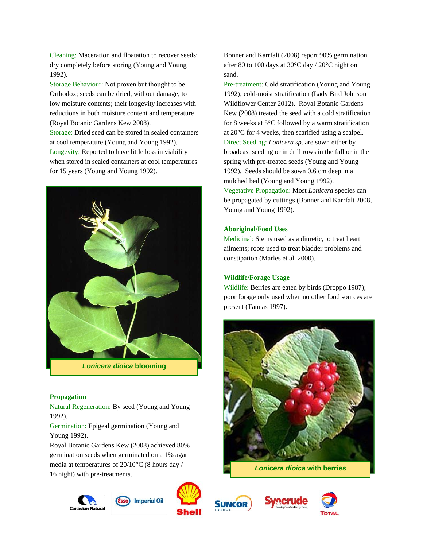Cleaning: Maceration and floatation to recover seeds; dry completely before storing (Young and Young 1992).

Storage Behaviour: Not proven but thought to be Orthodox; seeds can be dried, without damage, to low moisture contents; their longevity increases with reductions in both moisture content and temperature (Royal Botanic Gardens Kew 2008). Storage: Dried seed can be stored in sealed containers at cool temperature (Young and Young 1992). Longevity: Reported to have little loss in viability when stored in sealed containers at cool temperatures for 15 years (Young and Young 1992).



## **Propagation**

Natural Regeneration: By seed (Young and Young 1992).

Germination: Epigeal germination (Young and Young 1992).

Royal Botanic Gardens Kew (2008) achieved 80% germination seeds when germinated on a 1% agar media at temperatures of 20/10°C (8 hours day / 16 night) with pre-treatments.





Bonner and Karrfalt (2008) report 90% germination after 80 to 100 days at 30°C day / 20°C night on sand.

Pre-treatment: Cold stratification (Young and Young 1992); cold-moist stratification (Lady Bird Johnson Wildflower Center 2012). Royal Botanic Gardens Kew (2008) treated the seed with a cold stratification for 8 weeks at 5°C followed by a warm stratification at 20°C for 4 weeks, then scarified using a scalpel. Direct Seeding: *Lonicera sp*. are sown either by broadcast seeding or in drill rows in the fall or in the spring with pre-treated seeds (Young and Young 1992). Seeds should be sown 0.6 cm deep in a mulched bed (Young and Young 1992). Vegetative Propagation: Most *Lonicera* species can be propagated by cuttings (Bonner and Karrfalt 2008, Young and Young 1992).

#### **Aboriginal/Food Uses**

Medicinal: Stems used as a diuretic, to treat heart ailments; roots used to treat bladder problems and constipation (Marles et al. 2000).

## **Wildlife/Forage Usage**

Wildlife: Berries are eaten by birds (Droppo 1987); poor forage only used when no other food sources are present (Tannas 1997).



**SUNCOR** 



**Imperial Oil**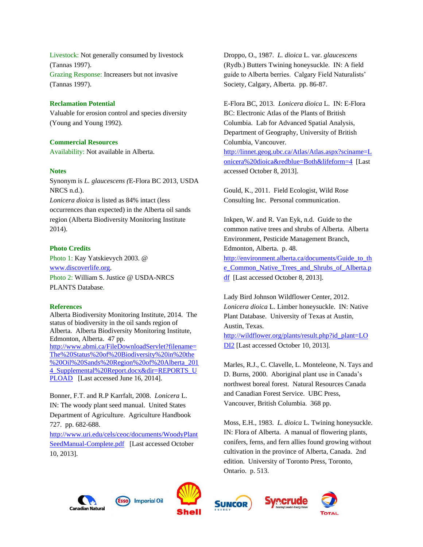Livestock: Not generally consumed by livestock (Tannas 1997). Grazing Response: Increasers but not invasive (Tannas 1997).

### **Reclamation Potential**

Valuable for erosion control and species diversity (Young and Young 1992).

### **Commercial Resources**

Availability: Not available in Alberta.

## **Notes**

Synonym is *L. glaucescens (*E-Flora BC 2013, USDA NRCS n.d.). *Lonicera dioica* is listed as 84% intact (less occurrences than expected) in the Alberta oil sands region (Alberta Biodiversity Monitoring Institute 2014).

#### **Photo Credits**

Photo 1: Kay Yatskievych 2003. @ [www.discoverlife.org.](http://www.discoverlife.org/) Photo 2: William S. Justice @ USDA-NRCS PLANTS Database.

### **References**

Alberta Biodiversity Monitoring Institute, 2014. The status of biodiversity in the oil sands region of Alberta. Alberta Biodiversity Monitoring Institute, Edmonton, Alberta. 47 pp. [http://www.abmi.ca/FileDownloadServlet?filename=](http://www.abmi.ca/FileDownloadServlet?filename=The%20Status%20of%20Biodiversity%20in%20the%20Oil%20Sands%20Region%20of%20Alberta_2014_Supplemental%20Report.docx&dir=REPORTS_UPLOAD) [The%20Status%20of%20Biodiversity%20in%20the](http://www.abmi.ca/FileDownloadServlet?filename=The%20Status%20of%20Biodiversity%20in%20the%20Oil%20Sands%20Region%20of%20Alberta_2014_Supplemental%20Report.docx&dir=REPORTS_UPLOAD) [%20Oil%20Sands%20Region%20of%20Alberta\\_201](http://www.abmi.ca/FileDownloadServlet?filename=The%20Status%20of%20Biodiversity%20in%20the%20Oil%20Sands%20Region%20of%20Alberta_2014_Supplemental%20Report.docx&dir=REPORTS_UPLOAD) [4\\_Supplemental%20Report.docx&dir=REPORTS\\_U](http://www.abmi.ca/FileDownloadServlet?filename=The%20Status%20of%20Biodiversity%20in%20the%20Oil%20Sands%20Region%20of%20Alberta_2014_Supplemental%20Report.docx&dir=REPORTS_UPLOAD) [PLOAD](http://www.abmi.ca/FileDownloadServlet?filename=The%20Status%20of%20Biodiversity%20in%20the%20Oil%20Sands%20Region%20of%20Alberta_2014_Supplemental%20Report.docx&dir=REPORTS_UPLOAD) [Last accessed June 16, 2014].

Bonner, F.T. and R.P Karrfalt, 2008. *Lonicera* L. IN: The woody plant seed manual. United States Department of Agriculture. Agriculture Handbook 727. pp. 682-688.

[http://www.uri.edu/cels/ceoc/documents/WoodyPlant](http://www.uri.edu/cels/ceoc/documents/WoodyPlantSeedManual-Complete.pdf) [SeedManual-Complete.pdf](http://www.uri.edu/cels/ceoc/documents/WoodyPlantSeedManual-Complete.pdf) [Last accessed October 10, 2013].

Droppo, O., 1987. *L. dioica* L. var. *glaucescens* (Rydb.) Butters Twining honeysuckle. IN: A field guide to Alberta berries. Calgary Field Naturalists' Society, Calgary, Alberta. pp. 86-87.

E-Flora BC, 2013. *Lonicera dioica* L. IN: E-Flora BC: Electronic Atlas of the Plants of British Columbia. Lab for Advanced Spatial Analysis, Department of Geography, University of British Columbia, Vancouver.

[http://linnet.geog.ubc.ca/Atlas/Atlas.aspx?sciname=L](http://linnet.geog.ubc.ca/Atlas/Atlas.aspx?sciname=Lonicera%20dioica&redblue=Both&lifeform=4) [onicera%20dioica&redblue=Both&lifeform=4](http://linnet.geog.ubc.ca/Atlas/Atlas.aspx?sciname=Lonicera%20dioica&redblue=Both&lifeform=4) [Last accessed October 8, 2013].

Gould, K., 2011. Field Ecologist, Wild Rose Consulting Inc. Personal communication.

Inkpen, W. and R. Van Eyk, n.d. Guide to the common native trees and shrubs of Alberta. Alberta Environment, Pesticide Management Branch, Edmonton, Alberta. p. 48. [http://environment.alberta.ca/documents/Guide\\_to\\_th](http://environment.alberta.ca/documents/Guide_to_the_Common_Native_Trees_and_Shrubs_of_Alberta.pdf) [e\\_Common\\_Native\\_Trees\\_and\\_Shrubs\\_of\\_Alberta.p](http://environment.alberta.ca/documents/Guide_to_the_Common_Native_Trees_and_Shrubs_of_Alberta.pdf) [df](http://environment.alberta.ca/documents/Guide_to_the_Common_Native_Trees_and_Shrubs_of_Alberta.pdf) [Last accessed October 8, 2013].

Lady Bird Johnson Wildflower Center, 2012. *Lonicera dioica* L. Limber honeysuckle. IN: Native Plant Database. University of Texas at Austin, Austin, Texas. [http://wildflower.org/plants/result.php?id\\_plant=LO](http://wildflower.org/plants/result.php?id_plant=LODI2) [DI2](http://wildflower.org/plants/result.php?id_plant=LODI2) [Last accessed October 10, 2013].

Marles, R.J., C. Clavelle, L. Monteleone, N. Tays and D. Burns, 2000. Aboriginal plant use in Canada's northwest boreal forest. Natural Resources Canada and Canadian Forest Service. UBC Press, Vancouver, British Columbia. 368 pp.

Moss, E.H., 1983. *L. dioica* L. Twining honeysuckle. IN: Flora of Alberta. A manual of flowering plants, conifers, ferns, and fern allies found growing without cultivation in the province of Alberta, Canada. 2nd edition. University of Toronto Press, Toronto, Ontario. p. 513.